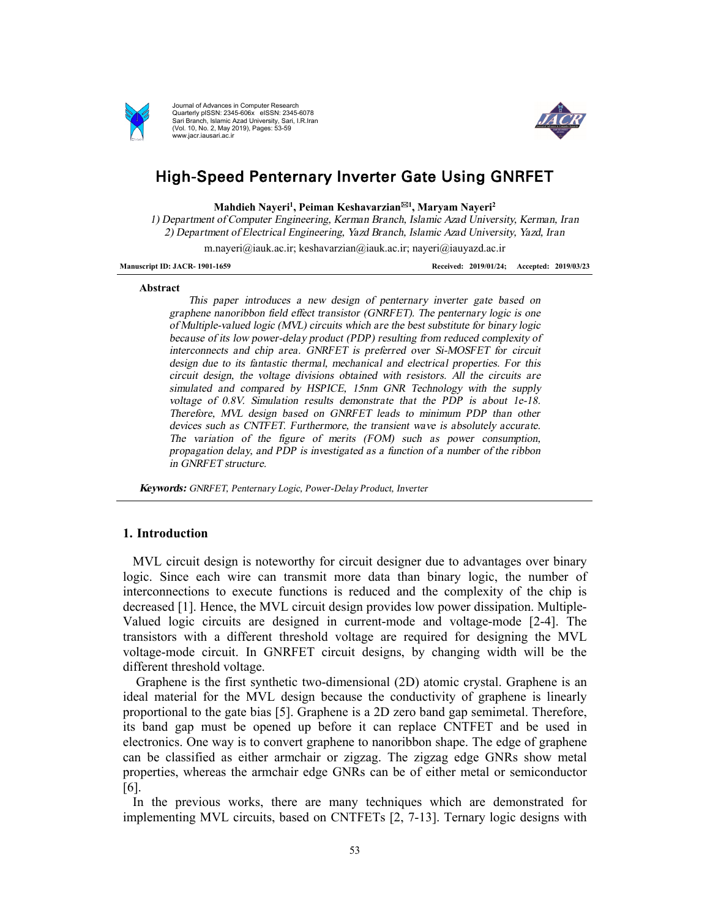

Journal of Advances in Computer Research Quarterly pISSN: 2345-606x eISSN: 2345-6078 Sari Branch, Islamic Azad University, Sari, I.R.Iran (Vol. 10, No. 2, May 2019), Pages: 53-59 www.jacr.iausari.ac.ir



# High-Speed Penternary Inverter Gate Using GNRFET

**Mahdieh Nayeri<sup>1</sup> , Peiman Keshavarzian**\***<sup>1</sup> , Maryam Nayeri<sup>2</sup>** 

*1) Department of Computer Engineering, Kerman Branch, Islamic Azad University, Kerman, Iran 2) Department of Electrical Engineering, Yazd Branch, Islamic Azad University, Yazd, Iran*  m.nayeri@iauk.ac.ir; keshavarzian@iauk.ac.ir; nayeri@iauyazd.ac.ir

**Manuscript ID: JACR- 1901-1659 Received: 2019/01/24; Accepted: 2019/03/23**

#### **Abstract**

*This paper introduces <sup>a</sup> new design of penternary inverter gate based on graphene nanoribbon field effect transistor (GNRFET). The penternary logic is one of Multiple-valued logic (MVL) circuits which are the best substitute for binary logic because of its low power-delay product (PDP) resulting from reduced complexity of interconnects and chip area. GNRFET is preferred over Si-MOSFET for circuit design due to its fantastic thermal, mechanical and electrical properties. For this circuit design, the voltage divisions obtained with resistors. All the circuits are simulated and compared by HSPICE, 15nm GNR Technology with the supply voltage of 0.8V. Simulation results demonstrate that the PDP is about 1e-18. Therefore, MVL design based on GNRFET leads to minimum PDP than other devices such as CNTFET. Furthermore, the transient wave is absolutely accurate. The variation of the figure of merits (FOM) such as power consumption, propagation delay, and PDP is investigated as <sup>a</sup> function of <sup>a</sup> number of the ribbon in GNRFET structure.* 

*Keywords: GNRFET, Penternary Logic, Power-Delay Product, Inverter* 

#### **1. Introduction**

MVL circuit design is noteworthy for circuit designer due to advantages over binary logic. Since each wire can transmit more data than binary logic, the number of interconnections to execute functions is reduced and the complexity of the chip is decreased [1]. Hence, the MVL circuit design provides low power dissipation. Multiple-Valued logic circuits are designed in current-mode and voltage-mode [2-4]. The transistors with a different threshold voltage are required for designing the MVL voltage-mode circuit. In GNRFET circuit designs, by changing width will be the different threshold voltage.

Graphene is the first synthetic two-dimensional (2D) atomic crystal. Graphene is an ideal material for the MVL design because the conductivity of graphene is linearly proportional to the gate bias [5]. Graphene is a 2D zero band gap semimetal. Therefore, its band gap must be opened up before it can replace CNTFET and be used in electronics. One way is to convert graphene to nanoribbon shape. The edge of graphene can be classified as either armchair or zigzag. The zigzag edge GNRs show metal properties, whereas the armchair edge GNRs can be of either metal or semiconductor [6].

In the previous works, there are many techniques which are demonstrated for implementing MVL circuits, based on CNTFETs [2, 7-13]. Ternary logic designs with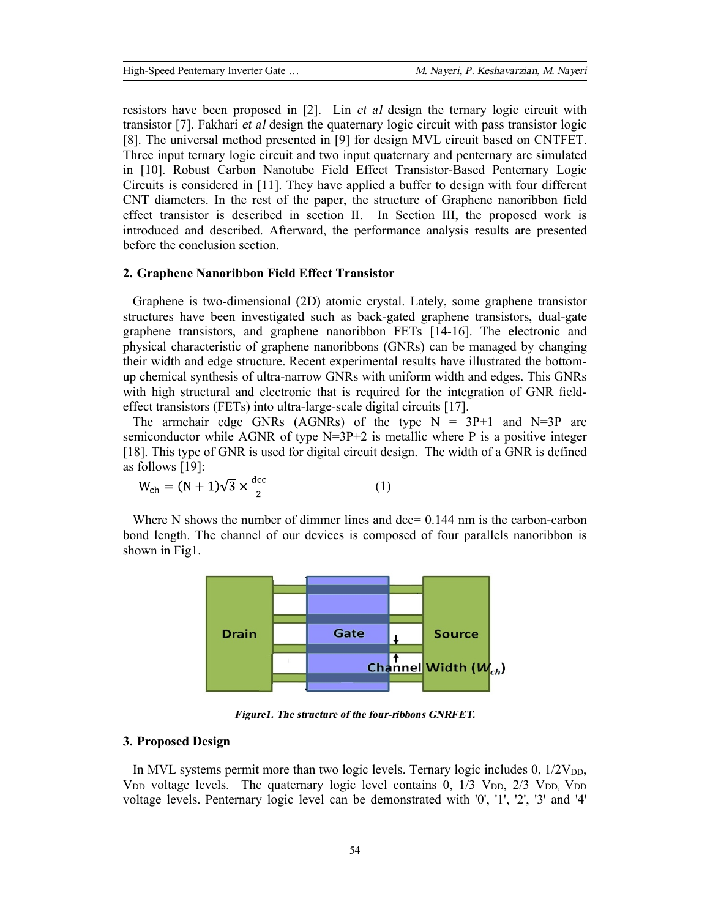High-Speed Penternary Inverter Gate … *M. Nayeri, P. Keshavarzian, M. Nayeri*

resistors have been proposed in [2]. Lin *et al* design the ternary logic circuit with transistor [7]. Fakhari *et al* design the quaternary logic circuit with pass transistor logic [8]. The universal method presented in [9] for design MVL circuit based on CNTFET. Three input ternary logic circuit and two input quaternary and penternary are simulated in [10]. Robust Carbon Nanotube Field Effect Transistor-Based Penternary Logic Circuits is considered in [11]. They have applied a buffer to design with four different CNT diameters. In the rest of the paper, the structure of Graphene nanoribbon field effect transistor is described in section II. In Section III, the proposed work is introduced and described. Afterward, the performance analysis results are presented before the conclusion section.

#### **2. Graphene Nanoribbon Field Effect Transistor**

Graphene is two-dimensional (2D) atomic crystal. Lately, some graphene transistor structures have been investigated such as back-gated graphene transistors, dual-gate graphene transistors, and graphene nanoribbon FETs [14-16]. The electronic and physical characteristic of graphene nanoribbons (GNRs) can be managed by changing their width and edge structure. Recent experimental results have illustrated the bottomup chemical synthesis of ultra-narrow GNRs with uniform width and edges. This GNRs with high structural and electronic that is required for the integration of GNR fieldeffect transistors (FETs) into ultra-large-scale digital circuits [17].

The armchair edge GNRs (AGNRs) of the type  $N = 3P+1$  and  $N=3P$  are semiconductor while AGNR of type  $N=3P+2$  is metallic where P is a positive integer [18]. This type of GNR is used for digital circuit design. The width of a GNR is defined as follows [19]:

$$
W_{\rm ch} = (N+1)\sqrt{3} \times \frac{\rm dcc}{2} \tag{1}
$$

Where N shows the number of dimmer lines and  $dec= 0.144$  nm is the carbon-carbon bond length. The channel of our devices is composed of four parallels nanoribbon is shown in Fig1.



*Figure1. The structure of the four-ribbons GNRFET.*

### **3. Proposed Design**

In MVL systems permit more than two logic levels. Ternary logic includes  $0$ ,  $1/2V_{DD}$ ,  $V_{DD}$  voltage levels. The quaternary logic level contains 0, 1/3  $V_{DD}$ , 2/3  $V_{DD}$ ,  $V_{DD}$ voltage levels. Penternary logic level can be demonstrated with '0', '1', '2', '3' and '4'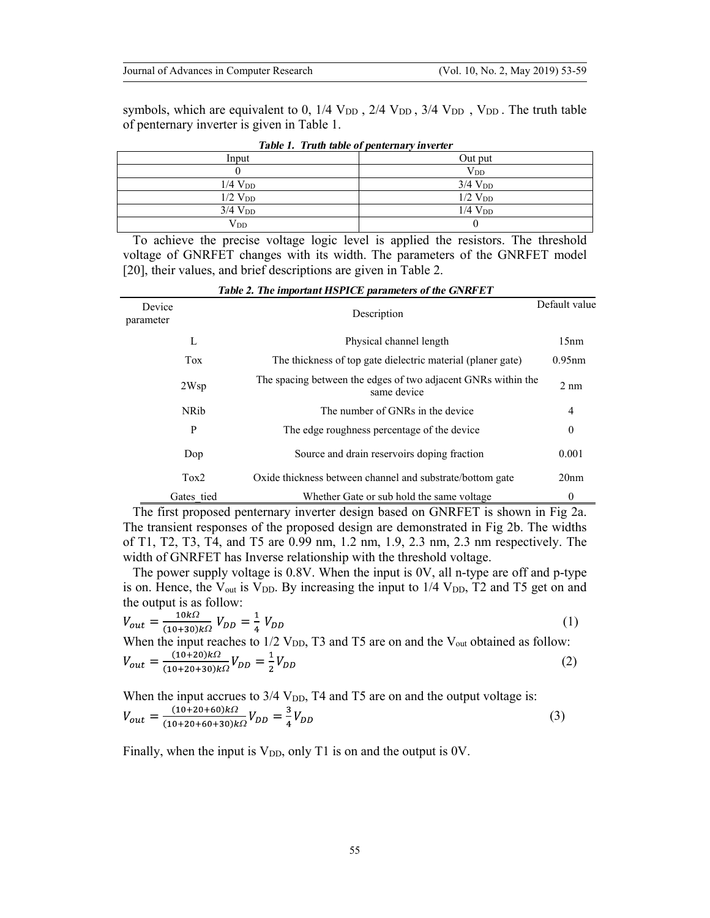symbols, which are equivalent to 0,  $1/4$  V<sub>DD</sub>,  $2/4$  V<sub>DD</sub>,  $3/4$  V<sub>DD</sub>, V<sub>DD</sub>. The truth table of penternary inverter is given in Table 1.

| Input          | Out put               |  |  |  |
|----------------|-----------------------|--|--|--|
|                | $\rm V_{DD}$          |  |  |  |
| $1/4$ $V_{DD}$ | $3/4$ V <sub>DD</sub> |  |  |  |
| $1/2$ $V_{DD}$ | $1/2$ $V_{DD}$        |  |  |  |
| $3/4$ $V_{DD}$ | $1/4$ $V_{DD}$        |  |  |  |
| $\rm V_{DD}$   |                       |  |  |  |

 *Table 1. Truth table of penternary inverter*

To achieve the precise voltage logic level is applied the resistors. The threshold voltage of GNRFET changes with its width. The parameters of the GNRFET model [20], their values, and brief descriptions are given in Table 2.

| Device<br>parameter |              | Description                                                                  | Default value    |
|---------------------|--------------|------------------------------------------------------------------------------|------------------|
|                     | L            | Physical channel length                                                      | 15nm             |
|                     | <b>Tox</b>   | The thickness of top gate dielectric material (planer gate)                  | $0.95$ nm        |
|                     | 2Wsp         | The spacing between the edges of two adjacent GNRs within the<br>same device | $2 \text{ nm}$   |
|                     | <b>NR</b> ib | The number of GNRs in the device                                             | $\overline{4}$   |
|                     | P            | The edge roughness percentage of the device                                  | $\mathbf{0}$     |
|                     | Dop          | Source and drain reservoirs doping fraction                                  | 0.001            |
|                     | Tox2         | Oxide thickness between channel and substrate/bottom gate                    | 20 <sub>nm</sub> |
|                     | Gates tied   | Whether Gate or sub hold the same voltage                                    | $\bf{0}$         |

 *Table 2. The important HSPICE parameters of the GNRFET*

The first proposed penternary inverter design based on GNRFET is shown in Fig 2a. The transient responses of the proposed design are demonstrated in Fig 2b. The widths of T1, T2, T3, T4, and T5 are 0.99 nm, 1.2 nm, 1.9, 2.3 nm, 2.3 nm respectively. The width of GNRFET has Inverse relationship with the threshold voltage.

The power supply voltage is 0.8V. When the input is 0V, all n-type are off and p-type is on. Hence, the  $V_{\text{out}}$  is  $V_{\text{DD}}$ . By increasing the input to  $1/4$   $V_{\text{DD}}$ , T2 and T5 get on and the output is as follow:

$$
V_{out} = \frac{10k\Omega}{(10+30)k\Omega} V_{DD} = \frac{1}{4} V_{DD}
$$
\n(1)

When the input reaches to 1/2 V<sub>DD</sub>, T3 and T5 are on and the V<sub>out</sub> obtained as follow:  

$$
V_{out} = \frac{(10+20)k\Omega}{(10+20+30)k\Omega} V_{DD} = \frac{1}{2} V_{DD}
$$
(2)

When the input accrues to  $3/4$  V<sub>DD</sub>, T4 and T5 are on and the output voltage is: *W W* (3)

Finally, when the input is  $V_{DD}$ , only T1 is on and the output is 0V.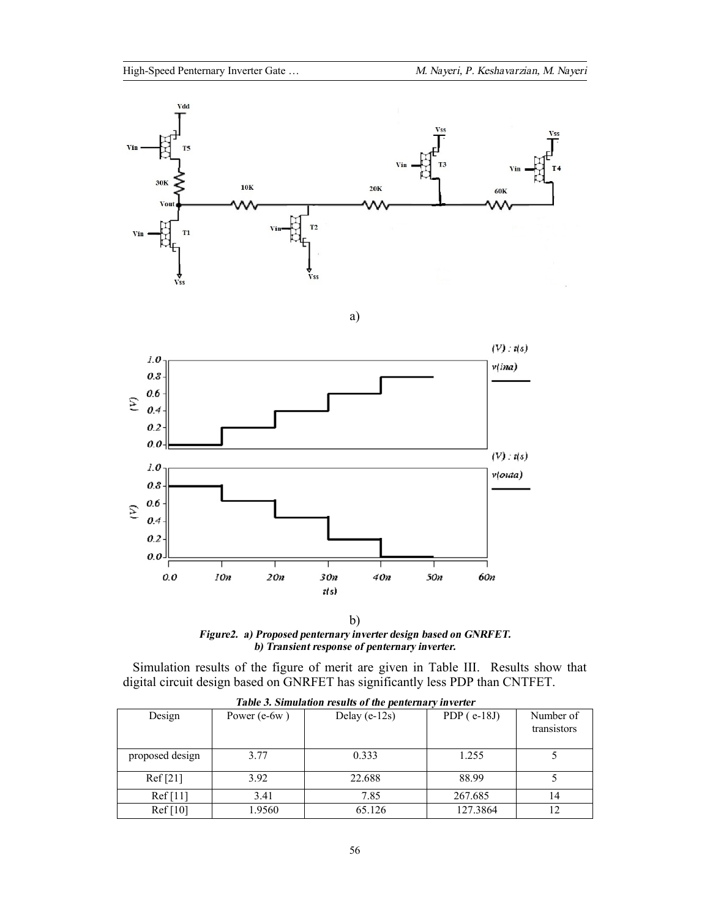

a)



b) *Figure2. a) Proposed penternary inverter design based on GNRFET. b) Transient response of penternary inverter.*

Simulation results of the figure of merit are given in Table III. Results show that digital circuit design based on GNRFET has significantly less PDP than CNTFET.

| Table 3. Simulation results of the penternary inverter |                |                   |               |                          |  |  |  |
|--------------------------------------------------------|----------------|-------------------|---------------|--------------------------|--|--|--|
| Design                                                 | Power $(e-6w)$ | Delay (e- $12s$ ) | PDP $(e-18J)$ | Number of<br>transistors |  |  |  |
| proposed design                                        | 3.77           | 0.333             | 1.255         |                          |  |  |  |
| Ref[21]                                                | 3.92           | 22.688            | 88.99         |                          |  |  |  |
| Ref[11]                                                | 3.41           | 7.85              | 267.685       | 14                       |  |  |  |
| Ref[10]                                                | 1.9560         | 65.126            | 127.3864      |                          |  |  |  |

|  | Table 3. Simulation results of the penternary inverte |  |
|--|-------------------------------------------------------|--|
|  |                                                       |  |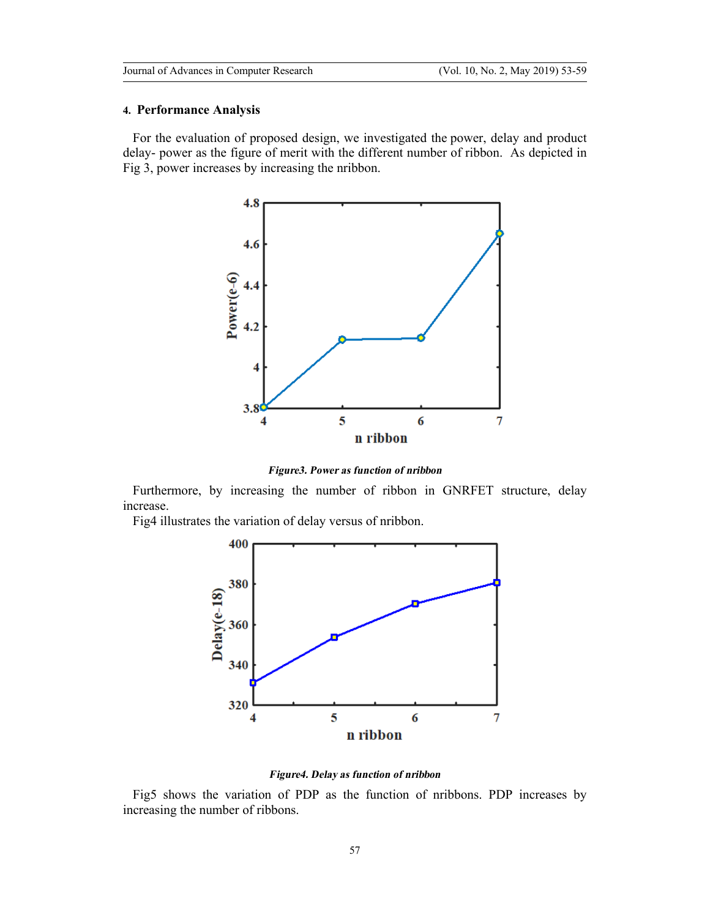#### **4. Performance Analysis**

For the evaluation of proposed design, we investigated the power, delay and product delay- power as the figure of merit with the different number of ribbon. As depicted in Fig 3, power increases by increasing the nribbon.



*Figure3. Power as function of nribbon*

Furthermore, by increasing the number of ribbon in GNRFET structure, delay increase.

Fig4 illustrates the variation of delay versus of nribbon.



*Figure4. Delay as function of nribbon*

Fig5 shows the variation of PDP as the function of nribbons. PDP increases by increasing the number of ribbons.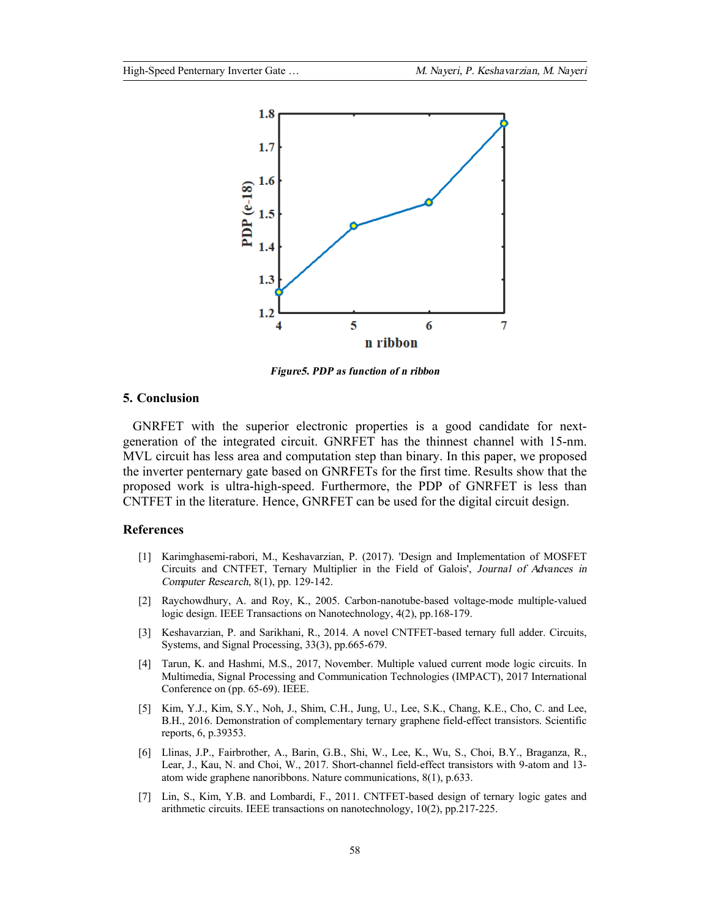

*Figure5. PDP as function of <sup>n</sup> ribbon*

## **5. Conclusion**

GNRFET with the superior electronic properties is a good candidate for nextgeneration of the integrated circuit. GNRFET has the thinnest channel with 15-nm. MVL circuit has less area and computation step than binary. In this paper, we proposed the inverter penternary gate based on GNRFETs for the first time. Results show that the proposed work is ultra-high-speed. Furthermore, the PDP of GNRFET is less than CNTFET in the literature. Hence, GNRFET can be used for the digital circuit design.

### **References**

- [1] Karimghasemi-rabori, M., Keshavarzian, P. (2017). 'Design and Implementation of MOSFET Circuits and CNTFET, Ternary Multiplier in the Field of Galois', *Journal of Advances in Computer Research*, 8(1), pp. 129-142.
- [2] Raychowdhury, A. and Roy, K., 2005. Carbon-nanotube-based voltage-mode multiple-valued logic design. IEEE Transactions on Nanotechnology, 4(2), pp.168-179.
- [3] Keshavarzian, P. and Sarikhani, R., 2014. A novel CNTFET-based ternary full adder. Circuits, Systems, and Signal Processing, 33(3), pp.665-679.
- [4] Tarun, K. and Hashmi, M.S., 2017, November. Multiple valued current mode logic circuits. In Multimedia, Signal Processing and Communication Technologies (IMPACT), 2017 International Conference on (pp. 65-69). IEEE.
- [5] Kim, Y.J., Kim, S.Y., Noh, J., Shim, C.H., Jung, U., Lee, S.K., Chang, K.E., Cho, C. and Lee, B.H., 2016. Demonstration of complementary ternary graphene field-effect transistors. Scientific reports, 6, p.39353.
- [6] Llinas, J.P., Fairbrother, A., Barin, G.B., Shi, W., Lee, K., Wu, S., Choi, B.Y., Braganza, R., Lear, J., Kau, N. and Choi, W., 2017. Short-channel field-effect transistors with 9-atom and 13 atom wide graphene nanoribbons. Nature communications, 8(1), p.633.
- [7] Lin, S., Kim, Y.B. and Lombardi, F., 2011. CNTFET-based design of ternary logic gates and arithmetic circuits. IEEE transactions on nanotechnology, 10(2), pp.217-225.